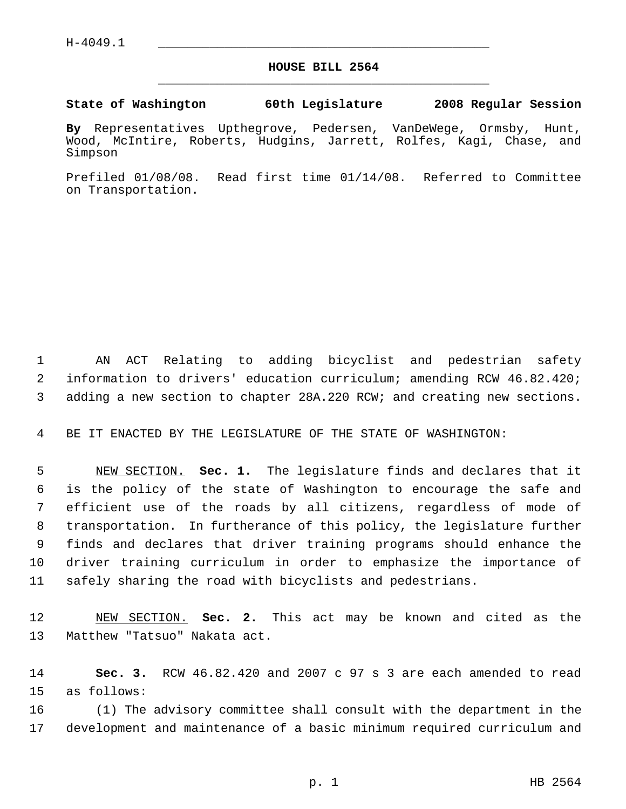## **HOUSE BILL 2564** \_\_\_\_\_\_\_\_\_\_\_\_\_\_\_\_\_\_\_\_\_\_\_\_\_\_\_\_\_\_\_\_\_\_\_\_\_\_\_\_\_\_\_\_\_

**State of Washington 60th Legislature 2008 Regular Session**

**By** Representatives Upthegrove, Pedersen, VanDeWege, Ormsby, Hunt, Wood, McIntire, Roberts, Hudgins, Jarrett, Rolfes, Kagi, Chase, and Simpson

Prefiled 01/08/08. Read first time 01/14/08. Referred to Committee on Transportation.

 AN ACT Relating to adding bicyclist and pedestrian safety information to drivers' education curriculum; amending RCW 46.82.420; adding a new section to chapter 28A.220 RCW; and creating new sections.

BE IT ENACTED BY THE LEGISLATURE OF THE STATE OF WASHINGTON:

 NEW SECTION. **Sec. 1.** The legislature finds and declares that it is the policy of the state of Washington to encourage the safe and efficient use of the roads by all citizens, regardless of mode of transportation. In furtherance of this policy, the legislature further finds and declares that driver training programs should enhance the driver training curriculum in order to emphasize the importance of safely sharing the road with bicyclists and pedestrians.

 NEW SECTION. **Sec. 2.** This act may be known and cited as the Matthew "Tatsuo" Nakata act.

 **Sec. 3.** RCW 46.82.420 and 2007 c 97 s 3 are each amended to read as follows:

 (1) The advisory committee shall consult with the department in the development and maintenance of a basic minimum required curriculum and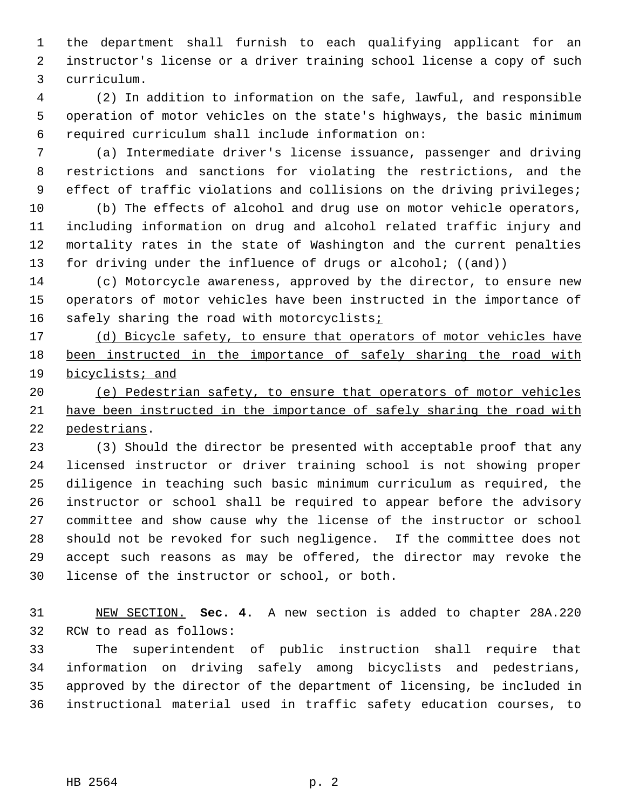the department shall furnish to each qualifying applicant for an instructor's license or a driver training school license a copy of such curriculum.

 (2) In addition to information on the safe, lawful, and responsible operation of motor vehicles on the state's highways, the basic minimum required curriculum shall include information on:

 (a) Intermediate driver's license issuance, passenger and driving restrictions and sanctions for violating the restrictions, and the effect of traffic violations and collisions on the driving privileges;

 (b) The effects of alcohol and drug use on motor vehicle operators, including information on drug and alcohol related traffic injury and mortality rates in the state of Washington and the current penalties 13 for driving under the influence of drugs or alcohol;  $((and))$ 

 (c) Motorcycle awareness, approved by the director, to ensure new operators of motor vehicles have been instructed in the importance of 16 safely sharing the road with motorcyclists;

17 (d) Bicycle safety, to ensure that operators of motor vehicles have 18 been instructed in the importance of safely sharing the road with bicyclists; and

 (e) Pedestrian safety, to ensure that operators of motor vehicles have been instructed in the importance of safely sharing the road with pedestrians.

 (3) Should the director be presented with acceptable proof that any licensed instructor or driver training school is not showing proper diligence in teaching such basic minimum curriculum as required, the instructor or school shall be required to appear before the advisory committee and show cause why the license of the instructor or school should not be revoked for such negligence. If the committee does not accept such reasons as may be offered, the director may revoke the license of the instructor or school, or both.

 NEW SECTION. **Sec. 4.** A new section is added to chapter 28A.220 RCW to read as follows:

 The superintendent of public instruction shall require that information on driving safely among bicyclists and pedestrians, approved by the director of the department of licensing, be included in instructional material used in traffic safety education courses, to